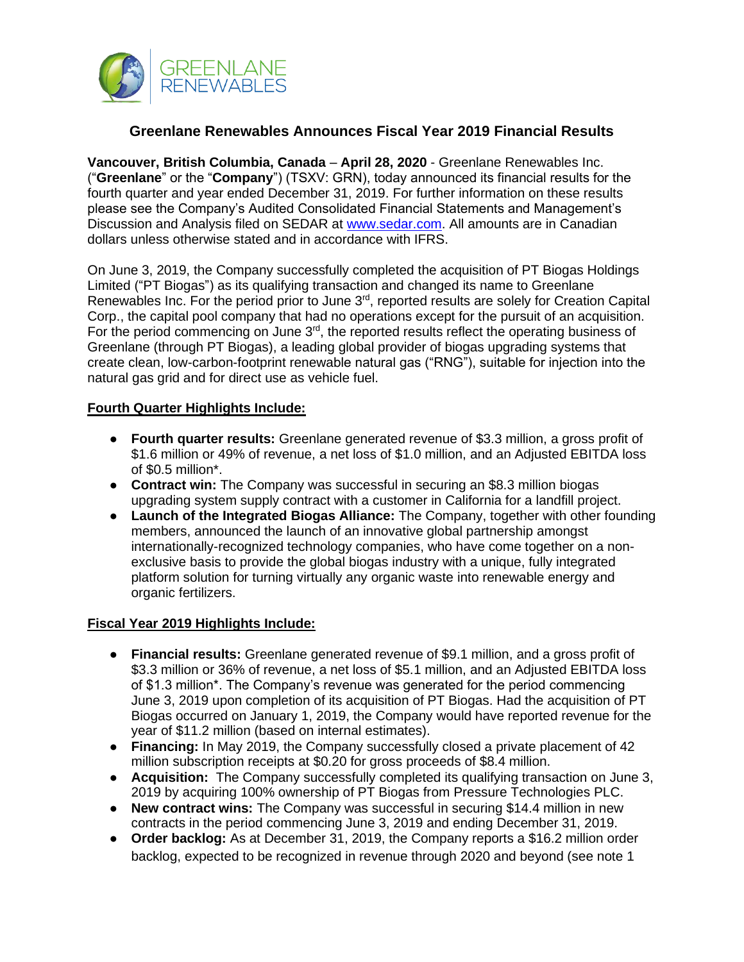

# **Greenlane Renewables Announces Fiscal Year 2019 Financial Results**

**Vancouver, British Columbia, Canada** – **April 28, 2020** - Greenlane Renewables Inc. ("**Greenlane**" or the "**Company**") (TSXV: GRN), today announced its financial results for the fourth quarter and year ended December 31, 2019. For further information on these results please see the Company's Audited Consolidated Financial Statements and Management's Discussion and Analysis filed on SEDAR at [www.sedar.com.](http://www.sedar.com/) All amounts are in Canadian dollars unless otherwise stated and in accordance with IFRS.

On June 3, 2019, the Company successfully completed the acquisition of PT Biogas Holdings Limited ("PT Biogas") as its qualifying transaction and changed its name to Greenlane Renewables Inc. For the period prior to June 3<sup>rd</sup>, reported results are solely for Creation Capital Corp., the capital pool company that had no operations except for the pursuit of an acquisition. For the period commencing on June  $3<sup>rd</sup>$ , the reported results reflect the operating business of Greenlane (through PT Biogas), a leading global provider of biogas upgrading systems that create clean, low-carbon-footprint renewable natural gas ("RNG"), suitable for injection into the natural gas grid and for direct use as vehicle fuel.

## **Fourth Quarter Highlights Include:**

- **Fourth quarter results:** Greenlane generated revenue of \$3.3 million, a gross profit of \$1.6 million or 49% of revenue, a net loss of \$1.0 million, and an Adjusted EBITDA loss of \$0.5 million\*.
- **Contract win:** The Company was successful in securing an \$8.3 million biogas upgrading system supply contract with a customer in California for a landfill project.
- **Launch of the Integrated Biogas Alliance:** The Company, together with other founding members, announced the launch of an innovative global partnership amongst internationally-recognized technology companies, who have come together on a nonexclusive basis to provide the global biogas industry with a unique, fully integrated platform solution for turning virtually any organic waste into renewable energy and organic fertilizers.

## **Fiscal Year 2019 Highlights Include:**

- **Financial results:** Greenlane generated revenue of \$9.1 million, and a gross profit of \$3.3 million or 36% of revenue, a net loss of \$5.1 million, and an Adjusted EBITDA loss of \$1.3 million\*. The Company's revenue was generated for the period commencing June 3, 2019 upon completion of its acquisition of PT Biogas. Had the acquisition of PT Biogas occurred on January 1, 2019, the Company would have reported revenue for the year of \$11.2 million (based on internal estimates).
- **Financing:** In May 2019, the Company successfully closed a private placement of 42 million subscription receipts at \$0.20 for gross proceeds of \$8.4 million.
- **Acquisition:** The Company successfully completed its qualifying transaction on June 3, 2019 by acquiring 100% ownership of PT Biogas from Pressure Technologies PLC.
- **New contract wins:** The Company was successful in securing \$14.4 million in new contracts in the period commencing June 3, 2019 and ending December 31, 2019.
- **Order backlog:** As at December 31, 2019, the Company reports a \$16.2 million order backlog, expected to be recognized in revenue through 2020 and beyond (see note 1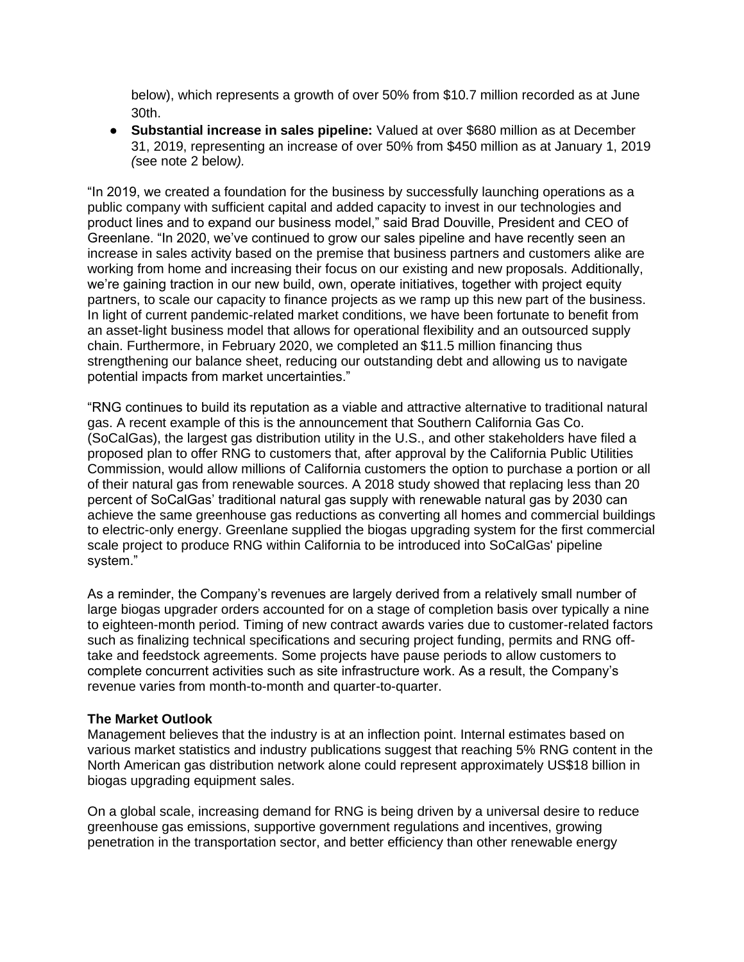below), which represents a growth of over 50% from \$10.7 million recorded as at June 30th.

● **Substantial increase in sales pipeline:** Valued at over \$680 million as at December 31, 2019, representing an increase of over 50% from \$450 million as at January 1, 2019 *(*see note 2 below*).*

"In 2019, we created a foundation for the business by successfully launching operations as a public company with sufficient capital and added capacity to invest in our technologies and product lines and to expand our business model," said Brad Douville, President and CEO of Greenlane. "In 2020, we've continued to grow our sales pipeline and have recently seen an increase in sales activity based on the premise that business partners and customers alike are working from home and increasing their focus on our existing and new proposals. Additionally, we're gaining traction in our new build, own, operate initiatives, together with project equity partners, to scale our capacity to finance projects as we ramp up this new part of the business. In light of current pandemic-related market conditions, we have been fortunate to benefit from an asset-light business model that allows for operational flexibility and an outsourced supply chain. Furthermore, in February 2020, we completed an \$11.5 million financing thus strengthening our balance sheet, reducing our outstanding debt and allowing us to navigate potential impacts from market uncertainties."

"RNG continues to build its reputation as a viable and attractive alternative to traditional natural gas. A recent example of this is the announcement that Southern California Gas Co. (SoCalGas), the largest gas distribution utility in the U.S., and other stakeholders have filed a proposed plan to offer RNG to customers that, after approval by the California Public Utilities Commission, would allow millions of California customers the option to purchase a portion or all of their natural gas from renewable sources. A 2018 study showed that replacing less than 20 percent of SoCalGas' traditional natural gas supply with renewable natural gas by 2030 can achieve the same greenhouse gas reductions as converting all homes and commercial buildings to electric-only energy. Greenlane supplied the biogas upgrading system for the first commercial scale project to produce RNG within California to be introduced into SoCalGas' pipeline system."

As a reminder, the Company's revenues are largely derived from a relatively small number of large biogas upgrader orders accounted for on a stage of completion basis over typically a nine to eighteen-month period. Timing of new contract awards varies due to customer-related factors such as finalizing technical specifications and securing project funding, permits and RNG offtake and feedstock agreements. Some projects have pause periods to allow customers to complete concurrent activities such as site infrastructure work. As a result, the Company's revenue varies from month-to-month and quarter-to-quarter.

### **The Market Outlook**

Management believes that the industry is at an inflection point. Internal estimates based on various market statistics and industry publications suggest that reaching 5% RNG content in the North American gas distribution network alone could represent approximately US\$18 billion in biogas upgrading equipment sales.

On a global scale, increasing demand for RNG is being driven by a universal desire to reduce greenhouse gas emissions, supportive government regulations and incentives, growing penetration in the transportation sector, and better efficiency than other renewable energy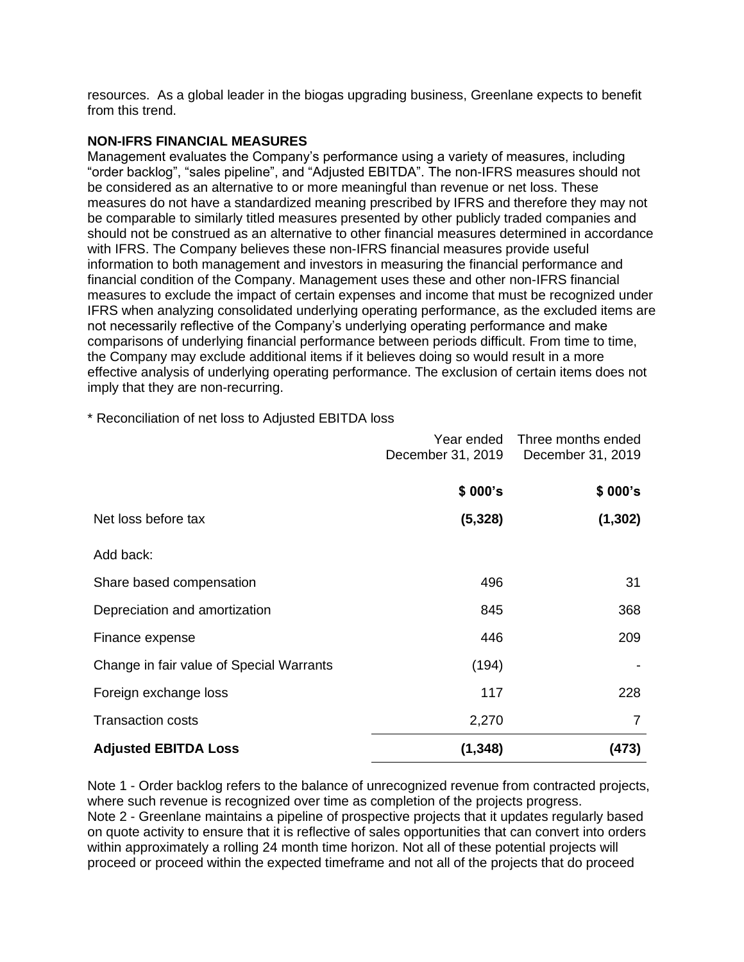resources. As a global leader in the biogas upgrading business, Greenlane expects to benefit from this trend.

### **NON-IFRS FINANCIAL MEASURES**

Management evaluates the Company's performance using a variety of measures, including "order backlog", "sales pipeline", and "Adjusted EBITDA". The non-IFRS measures should not be considered as an alternative to or more meaningful than revenue or net loss. These measures do not have a standardized meaning prescribed by IFRS and therefore they may not be comparable to similarly titled measures presented by other publicly traded companies and should not be construed as an alternative to other financial measures determined in accordance with IFRS. The Company believes these non-IFRS financial measures provide useful information to both management and investors in measuring the financial performance and financial condition of the Company. Management uses these and other non-IFRS financial measures to exclude the impact of certain expenses and income that must be recognized under IFRS when analyzing consolidated underlying operating performance, as the excluded items are not necessarily reflective of the Company's underlying operating performance and make comparisons of underlying financial performance between periods difficult. From time to time, the Company may exclude additional items if it believes doing so would result in a more effective analysis of underlying operating performance. The exclusion of certain items does not imply that they are non-recurring.

\* Reconciliation of net loss to Adjusted EBITDA loss

|                                          | Year ended        | Three months ended |
|------------------------------------------|-------------------|--------------------|
|                                          | December 31, 2019 | December 31, 2019  |
|                                          |                   |                    |
|                                          | \$000's           | \$000's            |
| Net loss before tax                      | (5, 328)          | (1, 302)           |
|                                          |                   |                    |
| Add back:                                |                   |                    |
| Share based compensation                 | 496               | 31                 |
| Depreciation and amortization            | 845               | 368                |
| Finance expense                          | 446               | 209                |
| Change in fair value of Special Warrants | (194)             |                    |
| Foreign exchange loss                    | 117               | 228                |
| <b>Transaction costs</b>                 | 2,270             | 7                  |
| <b>Adjusted EBITDA Loss</b>              | (1, 348)          | (473)              |

Note 1 - Order backlog refers to the balance of unrecognized revenue from contracted projects, where such revenue is recognized over time as completion of the projects progress. Note 2 - Greenlane maintains a pipeline of prospective projects that it updates regularly based on quote activity to ensure that it is reflective of sales opportunities that can convert into orders within approximately a rolling 24 month time horizon. Not all of these potential projects will proceed or proceed within the expected timeframe and not all of the projects that do proceed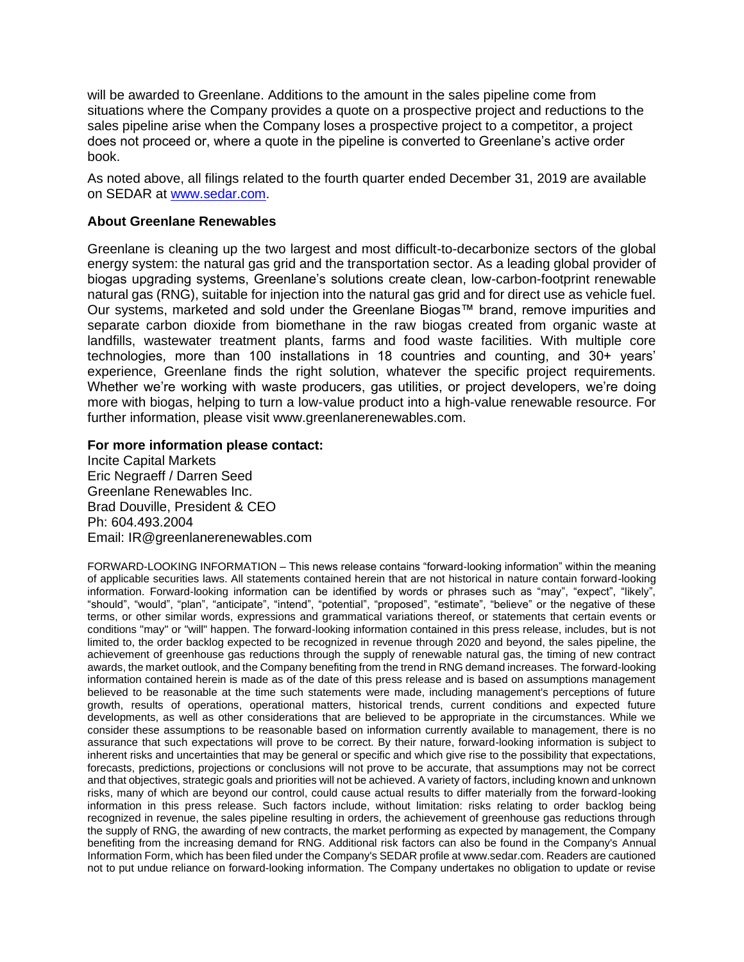will be awarded to Greenlane. Additions to the amount in the sales pipeline come from situations where the Company provides a quote on a prospective project and reductions to the sales pipeline arise when the Company loses a prospective project to a competitor, a project does not proceed or, where a quote in the pipeline is converted to Greenlane's active order book.

As noted above, all filings related to the fourth quarter ended December 31, 2019 are available on SEDAR at [www.sedar.com.](http://www.sedar.com/)

#### **About Greenlane Renewables**

Greenlane is cleaning up the two largest and most difficult-to-decarbonize sectors of the global energy system: the natural gas grid and the transportation sector. As a leading global provider of biogas upgrading systems, Greenlane's solutions create clean, low-carbon-footprint renewable natural gas (RNG), suitable for injection into the natural gas grid and for direct use as vehicle fuel. Our systems, marketed and sold under the Greenlane Biogas™ brand, remove impurities and separate carbon dioxide from biomethane in the raw biogas created from organic waste at landfills, wastewater treatment plants, farms and food waste facilities. With multiple core technologies, more than 100 installations in 18 countries and counting, and 30+ years' experience, Greenlane finds the right solution, whatever the specific project requirements. Whether we're working with waste producers, gas utilities, or project developers, we're doing more with biogas, helping to turn a low-value product into a high-value renewable resource. For further information, please visit www.greenlanerenewables.com.

#### **For more information please contact:**

Incite Capital Markets Eric Negraeff / Darren Seed Greenlane Renewables Inc. Brad Douville, President & CEO Ph: 604.493.2004 Email: IR@greenlanerenewables.com

FORWARD-LOOKING INFORMATION – This news release contains "forward-looking information" within the meaning of applicable securities laws. All statements contained herein that are not historical in nature contain forward-looking information. Forward-looking information can be identified by words or phrases such as "may", "expect", "likely", "should", "would", "plan", "anticipate", "intend", "potential", "proposed", "estimate", "believe" or the negative of these terms, or other similar words, expressions and grammatical variations thereof, or statements that certain events or conditions "may" or "will" happen. The forward-looking information contained in this press release, includes, but is not limited to, the order backlog expected to be recognized in revenue through 2020 and beyond, the sales pipeline, the achievement of greenhouse gas reductions through the supply of renewable natural gas, the timing of new contract awards, the market outlook, and the Company benefiting from the trend in RNG demand increases. The forward-looking information contained herein is made as of the date of this press release and is based on assumptions management believed to be reasonable at the time such statements were made, including management's perceptions of future growth, results of operations, operational matters, historical trends, current conditions and expected future developments, as well as other considerations that are believed to be appropriate in the circumstances. While we consider these assumptions to be reasonable based on information currently available to management, there is no assurance that such expectations will prove to be correct. By their nature, forward-looking information is subject to inherent risks and uncertainties that may be general or specific and which give rise to the possibility that expectations, forecasts, predictions, projections or conclusions will not prove to be accurate, that assumptions may not be correct and that objectives, strategic goals and priorities will not be achieved. A variety of factors, including known and unknown risks, many of which are beyond our control, could cause actual results to differ materially from the forward-looking information in this press release. Such factors include, without limitation: risks relating to order backlog being recognized in revenue, the sales pipeline resulting in orders, the achievement of greenhouse gas reductions through the supply of RNG, the awarding of new contracts, the market performing as expected by management, the Company benefiting from the increasing demand for RNG. Additional risk factors can also be found in the Company's Annual Information Form, which has been filed under the Company's SEDAR profile at www.sedar.com. Readers are cautioned not to put undue reliance on forward-looking information. The Company undertakes no obligation to update or revise